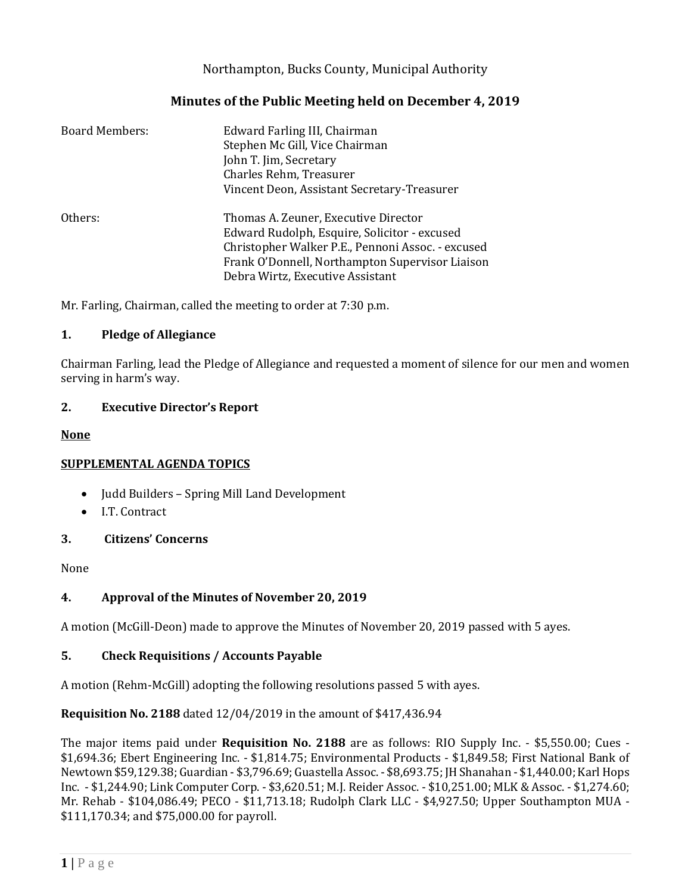# Northampton, Bucks County, Municipal Authority

## **Minutes of the Public Meeting held on December 4, 2019**

| <b>Board Members:</b> | Edward Farling III, Chairman<br>Stephen Mc Gill, Vice Chairman<br>John T. Jim, Secretary<br>Charles Rehm, Treasurer<br>Vincent Deon, Assistant Secretary-Treasurer                                                               |
|-----------------------|----------------------------------------------------------------------------------------------------------------------------------------------------------------------------------------------------------------------------------|
| Others:               | Thomas A. Zeuner, Executive Director<br>Edward Rudolph, Esquire, Solicitor - excused<br>Christopher Walker P.E., Pennoni Assoc. - excused<br>Frank O'Donnell, Northampton Supervisor Liaison<br>Debra Wirtz, Executive Assistant |

Mr. Farling, Chairman, called the meeting to order at 7:30 p.m.

#### **1. Pledge of Allegiance**

Chairman Farling, lead the Pledge of Allegiance and requested a moment of silence for our men and women serving in harm's way.

#### **2. Executive Director's Report**

#### **None**

## **SUPPLEMENTAL AGENDA TOPICS**

- Judd Builders Spring Mill Land Development
- I.T. Contract

## **3. Citizens' Concerns**

None

## **4. Approval of the Minutes of November 20, 2019**

A motion (McGill-Deon) made to approve the Minutes of November 20, 2019 passed with 5 ayes.

## **5. Check Requisitions / Accounts Payable**

A motion (Rehm-McGill) adopting the following resolutions passed 5 with ayes.

## **Requisition No. 2188** dated 12/04/2019 in the amount of \$417,436.94

The major items paid under **Requisition No. 2188** are as follows: RIO Supply Inc. - \$5,550.00; Cues - \$1,694.36; Ebert Engineering Inc. - \$1,814.75; Environmental Products - \$1,849.58; First National Bank of Newtown \$59,129.38; Guardian - \$3,796.69; Guastella Assoc. - \$8,693.75; JH Shanahan - \$1,440.00; Karl Hops Inc. - \$1,244.90; Link Computer Corp. - \$3,620.51; M.J. Reider Assoc. - \$10,251.00; MLK & Assoc. - \$1,274.60; Mr. Rehab - \$104,086.49; PECO - \$11,713.18; Rudolph Clark LLC - \$4,927.50; Upper Southampton MUA - \$111,170.34; and \$75,000.00 for payroll.